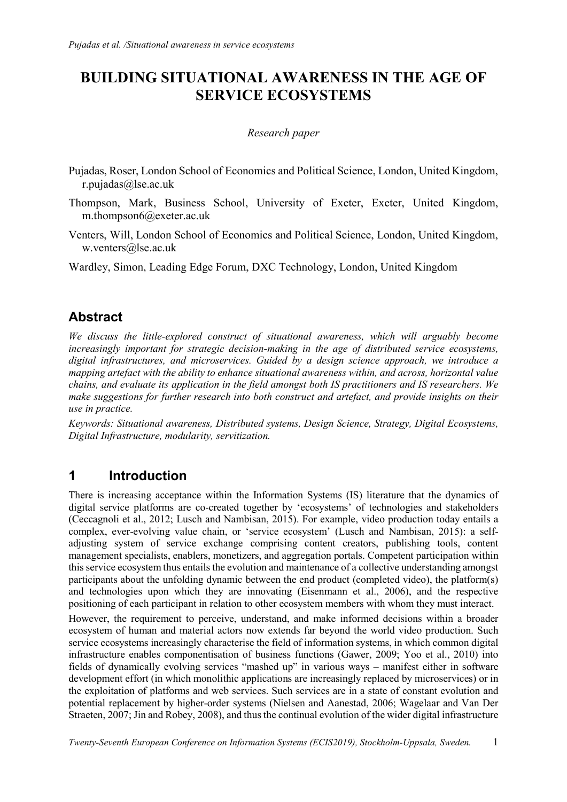# BUILDING SITUATIONAL AWARENESS IN THE AGE OF SERVICE ECOSYSTEMS

#### Research paper

- Pujadas, Roser, London School of Economics and Political Science, London, United Kingdom, r.pujadas@lse.ac.uk
- Thompson, Mark, Business School, University of Exeter, Exeter, United Kingdom, m.thompson6@exeter.ac.uk
- Venters, Will, London School of Economics and Political Science, London, United Kingdom, w.venters@lse.ac.uk

Wardley, Simon, Leading Edge Forum, DXC Technology, London, United Kingdom

## Abstract

We discuss the little-explored construct of situational awareness, which will arguably become increasingly important for strategic decision-making in the age of distributed service ecosystems, digital infrastructures, and microservices. Guided by a design science approach, we introduce a mapping artefact with the ability to enhance situational awareness within, and across, horizontal value chains, and evaluate its application in the field amongst both IS practitioners and IS researchers. We make suggestions for further research into both construct and artefact, and provide insights on their use in practice.

Keywords: Situational awareness, Distributed systems, Design Science, Strategy, Digital Ecosystems, Digital Infrastructure, modularity, servitization.

## 1 Introduction

There is increasing acceptance within the Information Systems (IS) literature that the dynamics of digital service platforms are co-created together by 'ecosystems' of technologies and stakeholders (Ceccagnoli et al., 2012; Lusch and Nambisan, 2015). For example, video production today entails a complex, ever-evolving value chain, or 'service ecosystem' (Lusch and Nambisan, 2015): a selfadjusting system of service exchange comprising content creators, publishing tools, content management specialists, enablers, monetizers, and aggregation portals. Competent participation within this service ecosystem thus entails the evolution and maintenance of a collective understanding amongst participants about the unfolding dynamic between the end product (completed video), the platform(s) and technologies upon which they are innovating (Eisenmann et al., 2006), and the respective positioning of each participant in relation to other ecosystem members with whom they must interact.

However, the requirement to perceive, understand, and make informed decisions within a broader ecosystem of human and material actors now extends far beyond the world video production. Such service ecosystems increasingly characterise the field of information systems, in which common digital infrastructure enables componentisation of business functions (Gawer, 2009; Yoo et al., 2010) into fields of dynamically evolving services "mashed up" in various ways – manifest either in software development effort (in which monolithic applications are increasingly replaced by microservices) or in the exploitation of platforms and web services. Such services are in a state of constant evolution and potential replacement by higher-order systems (Nielsen and Aanestad, 2006; Wagelaar and Van Der Straeten, 2007; Jin and Robey, 2008), and thus the continual evolution of the wider digital infrastructure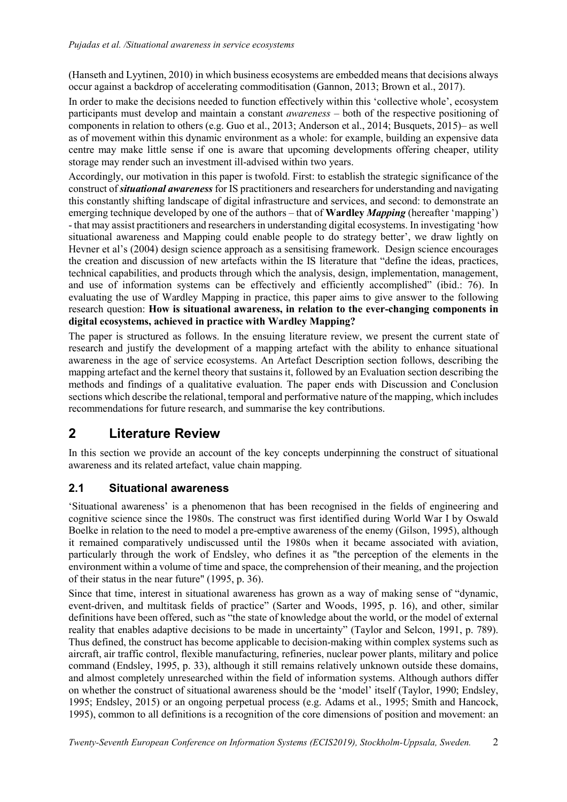(Hanseth and Lyytinen, 2010) in which business ecosystems are embedded means that decisions always occur against a backdrop of accelerating commoditisation (Gannon, 2013; Brown et al., 2017).

In order to make the decisions needed to function effectively within this 'collective whole', ecosystem participants must develop and maintain a constant awareness – both of the respective positioning of components in relation to others (e.g. Guo et al., 2013; Anderson et al., 2014; Busquets, 2015)– as well as of movement within this dynamic environment as a whole: for example, building an expensive data centre may make little sense if one is aware that upcoming developments offering cheaper, utility storage may render such an investment ill-advised within two years.

Accordingly, our motivation in this paper is twofold. First: to establish the strategic significance of the construct of situational awareness for IS practitioners and researchers for understanding and navigating this constantly shifting landscape of digital infrastructure and services, and second: to demonstrate an emerging technique developed by one of the authors – that of **Wardley** *Mapping* (hereafter 'mapping') - that may assist practitioners and researchers in understanding digital ecosystems. In investigating 'how situational awareness and Mapping could enable people to do strategy better', we draw lightly on Hevner et al's (2004) design science approach as a sensitising framework. Design science encourages the creation and discussion of new artefacts within the IS literature that "define the ideas, practices, technical capabilities, and products through which the analysis, design, implementation, management, and use of information systems can be effectively and efficiently accomplished" (ibid.: 76). In evaluating the use of Wardley Mapping in practice, this paper aims to give answer to the following research question: How is situational awareness, in relation to the ever-changing components in digital ecosystems, achieved in practice with Wardley Mapping?

The paper is structured as follows. In the ensuing literature review, we present the current state of research and justify the development of a mapping artefact with the ability to enhance situational awareness in the age of service ecosystems. An Artefact Description section follows, describing the mapping artefact and the kernel theory that sustains it, followed by an Evaluation section describing the methods and findings of a qualitative evaluation. The paper ends with Discussion and Conclusion sections which describe the relational, temporal and performative nature of the mapping, which includes recommendations for future research, and summarise the key contributions.

## 2 Literature Review

In this section we provide an account of the key concepts underpinning the construct of situational awareness and its related artefact, value chain mapping.

## 2.1 Situational awareness

'Situational awareness' is a phenomenon that has been recognised in the fields of engineering and cognitive science since the 1980s. The construct was first identified during World War I by Oswald Boelke in relation to the need to model a pre-emptive awareness of the enemy (Gilson, 1995), although it remained comparatively undiscussed until the 1980s when it became associated with aviation, particularly through the work of Endsley, who defines it as "the perception of the elements in the environment within a volume of time and space, the comprehension of their meaning, and the projection of their status in the near future" (1995, p. 36).

Since that time, interest in situational awareness has grown as a way of making sense of "dynamic, event-driven, and multitask fields of practice" (Sarter and Woods, 1995, p. 16), and other, similar definitions have been offered, such as "the state of knowledge about the world, or the model of external reality that enables adaptive decisions to be made in uncertainty" (Taylor and Selcon, 1991, p. 789). Thus defined, the construct has become applicable to decision-making within complex systems such as aircraft, air traffic control, flexible manufacturing, refineries, nuclear power plants, military and police command (Endsley, 1995, p. 33), although it still remains relatively unknown outside these domains, and almost completely unresearched within the field of information systems. Although authors differ on whether the construct of situational awareness should be the 'model' itself (Taylor, 1990; Endsley, 1995; Endsley, 2015) or an ongoing perpetual process (e.g. Adams et al., 1995; Smith and Hancock, 1995), common to all definitions is a recognition of the core dimensions of position and movement: an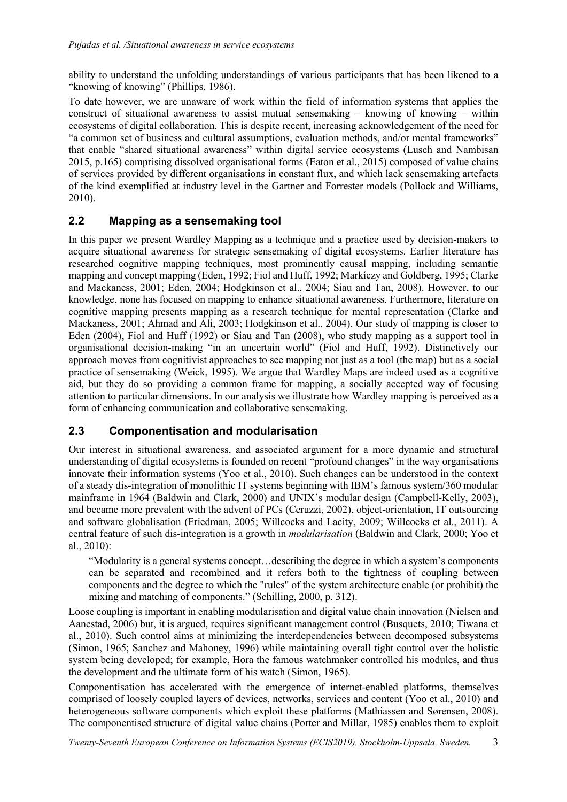ability to understand the unfolding understandings of various participants that has been likened to a "knowing of knowing" (Phillips, 1986).

To date however, we are unaware of work within the field of information systems that applies the construct of situational awareness to assist mutual sensemaking  $-$  knowing of knowing  $-$  within ecosystems of digital collaboration. This is despite recent, increasing acknowledgement of the need for "a common set of business and cultural assumptions, evaluation methods, and/or mental frameworks" that enable "shared situational awareness" within digital service ecosystems (Lusch and Nambisan 2015, p.165) comprising dissolved organisational forms (Eaton et al., 2015) composed of value chains of services provided by different organisations in constant flux, and which lack sensemaking artefacts of the kind exemplified at industry level in the Gartner and Forrester models (Pollock and Williams, 2010).

### 2.2 Mapping as a sensemaking tool

In this paper we present Wardley Mapping as a technique and a practice used by decision-makers to acquire situational awareness for strategic sensemaking of digital ecosystems. Earlier literature has researched cognitive mapping techniques, most prominently causal mapping, including semantic mapping and concept mapping (Eden, 1992; Fiol and Huff, 1992; Markíczy and Goldberg, 1995; Clarke and Mackaness, 2001; Eden, 2004; Hodgkinson et al., 2004; Siau and Tan, 2008). However, to our knowledge, none has focused on mapping to enhance situational awareness. Furthermore, literature on cognitive mapping presents mapping as a research technique for mental representation (Clarke and Mackaness, 2001; Ahmad and Ali, 2003; Hodgkinson et al., 2004). Our study of mapping is closer to Eden (2004), Fiol and Huff (1992) or Siau and Tan (2008), who study mapping as a support tool in organisational decision-making "in an uncertain world" (Fiol and Huff, 1992). Distinctively our approach moves from cognitivist approaches to see mapping not just as a tool (the map) but as a social practice of sensemaking (Weick, 1995). We argue that Wardley Maps are indeed used as a cognitive aid, but they do so providing a common frame for mapping, a socially accepted way of focusing attention to particular dimensions. In our analysis we illustrate how Wardley mapping is perceived as a form of enhancing communication and collaborative sensemaking.

### 2.3 Componentisation and modularisation

Our interest in situational awareness, and associated argument for a more dynamic and structural understanding of digital ecosystems is founded on recent "profound changes" in the way organisations innovate their information systems (Yoo et al., 2010). Such changes can be understood in the context of a steady dis-integration of monolithic IT systems beginning with IBM's famous system/360 modular mainframe in 1964 (Baldwin and Clark, 2000) and UNIX's modular design (Campbell-Kelly, 2003), and became more prevalent with the advent of PCs (Ceruzzi, 2002), object-orientation, IT outsourcing and software globalisation (Friedman, 2005; Willcocks and Lacity, 2009; Willcocks et al., 2011). A central feature of such dis-integration is a growth in modularisation (Baldwin and Clark, 2000; Yoo et al., 2010):

"Modularity is a general systems concept…describing the degree in which a system's components can be separated and recombined and it refers both to the tightness of coupling between components and the degree to which the "rules" of the system architecture enable (or prohibit) the mixing and matching of components." (Schilling, 2000, p. 312).

Loose coupling is important in enabling modularisation and digital value chain innovation (Nielsen and Aanestad, 2006) but, it is argued, requires significant management control (Busquets, 2010; Tiwana et al., 2010). Such control aims at minimizing the interdependencies between decomposed subsystems (Simon, 1965; Sanchez and Mahoney, 1996) while maintaining overall tight control over the holistic system being developed; for example, Hora the famous watchmaker controlled his modules, and thus the development and the ultimate form of his watch (Simon, 1965).

Componentisation has accelerated with the emergence of internet-enabled platforms, themselves comprised of loosely coupled layers of devices, networks, services and content (Yoo et al., 2010) and heterogeneous software components which exploit these platforms (Mathiassen and Sørensen, 2008). The componentised structure of digital value chains (Porter and Millar, 1985) enables them to exploit

Twenty-Seventh European Conference on Information Systems (ECIS2019), Stockholm-Uppsala, Sweden. 3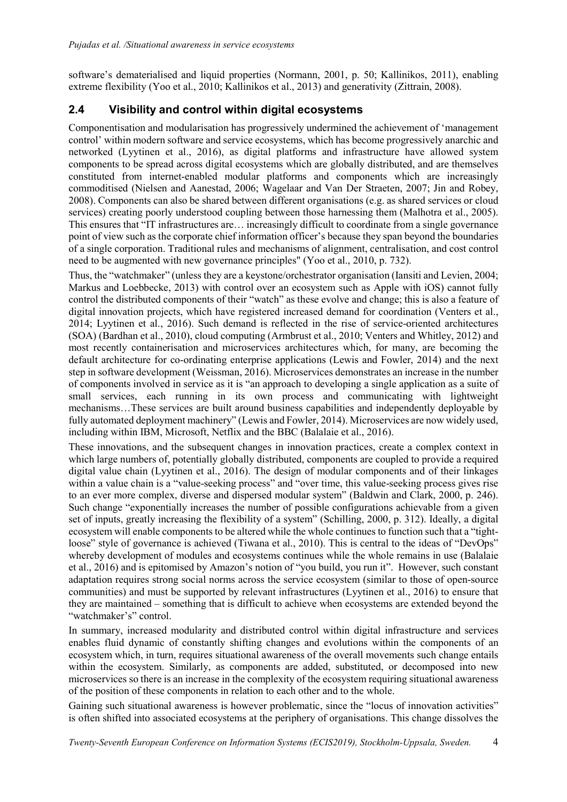software's dematerialised and liquid properties (Normann, 2001, p. 50; Kallinikos, 2011), enabling extreme flexibility (Yoo et al., 2010; Kallinikos et al., 2013) and generativity (Zittrain, 2008).

## 2.4 Visibility and control within digital ecosystems

Componentisation and modularisation has progressively undermined the achievement of 'management control' within modern software and service ecosystems, which has become progressively anarchic and networked (Lyytinen et al., 2016), as digital platforms and infrastructure have allowed system components to be spread across digital ecosystems which are globally distributed, and are themselves constituted from internet-enabled modular platforms and components which are increasingly commoditised (Nielsen and Aanestad, 2006; Wagelaar and Van Der Straeten, 2007; Jin and Robey, 2008). Components can also be shared between different organisations (e.g. as shared services or cloud services) creating poorly understood coupling between those harnessing them (Malhotra et al., 2005). This ensures that "IT infrastructures are… increasingly difficult to coordinate from a single governance point of view such as the corporate chief information officer's because they span beyond the boundaries of a single corporation. Traditional rules and mechanisms of alignment, centralisation, and cost control need to be augmented with new governance principles" (Yoo et al., 2010, p. 732).

Thus, the "watchmaker" (unless they are a keystone/orchestrator organisation (Iansiti and Levien, 2004; Markus and Loebbecke, 2013) with control over an ecosystem such as Apple with iOS) cannot fully control the distributed components of their "watch" as these evolve and change; this is also a feature of digital innovation projects, which have registered increased demand for coordination (Venters et al., 2014; Lyytinen et al., 2016). Such demand is reflected in the rise of service-oriented architectures (SOA) (Bardhan et al., 2010), cloud computing (Armbrust et al., 2010; Venters and Whitley, 2012) and most recently containerisation and microservices architectures which, for many, are becoming the default architecture for co-ordinating enterprise applications (Lewis and Fowler, 2014) and the next step in software development (Weissman, 2016). Microservices demonstrates an increase in the number of components involved in service as it is "an approach to developing a single application as a suite of small services, each running in its own process and communicating with lightweight mechanisms…These services are built around business capabilities and independently deployable by fully automated deployment machinery" (Lewis and Fowler, 2014). Microservices are now widely used, including within IBM, Microsoft, Netflix and the BBC (Balalaie et al., 2016).

These innovations, and the subsequent changes in innovation practices, create a complex context in which large numbers of, potentially globally distributed, components are coupled to provide a required digital value chain (Lyytinen et al., 2016). The design of modular components and of their linkages within a value chain is a "value-seeking process" and "over time, this value-seeking process gives rise to an ever more complex, diverse and dispersed modular system" (Baldwin and Clark, 2000, p. 246). Such change "exponentially increases the number of possible configurations achievable from a given set of inputs, greatly increasing the flexibility of a system" (Schilling, 2000, p. 312). Ideally, a digital ecosystem will enable components to be altered while the whole continues to function such that a "tightloose" style of governance is achieved (Tiwana et al., 2010). This is central to the ideas of "DevOps" whereby development of modules and ecosystems continues while the whole remains in use (Balalaie et al., 2016) and is epitomised by Amazon's notion of "you build, you run it". However, such constant adaptation requires strong social norms across the service ecosystem (similar to those of open-source communities) and must be supported by relevant infrastructures (Lyytinen et al., 2016) to ensure that they are maintained – something that is difficult to achieve when ecosystems are extended beyond the "watchmaker's" control.

In summary, increased modularity and distributed control within digital infrastructure and services enables fluid dynamic of constantly shifting changes and evolutions within the components of an ecosystem which, in turn, requires situational awareness of the overall movements such change entails within the ecosystem. Similarly, as components are added, substituted, or decomposed into new microservices so there is an increase in the complexity of the ecosystem requiring situational awareness of the position of these components in relation to each other and to the whole.

Gaining such situational awareness is however problematic, since the "locus of innovation activities" is often shifted into associated ecosystems at the periphery of organisations. This change dissolves the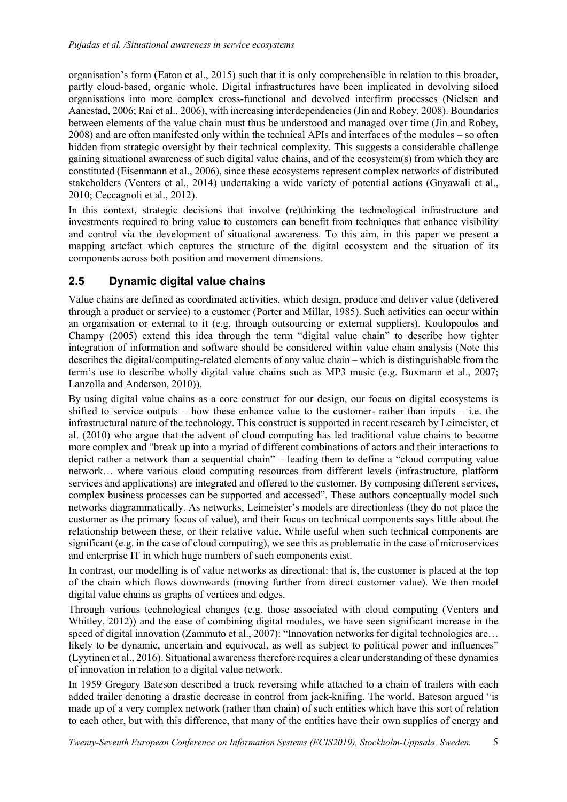organisation's form (Eaton et al., 2015) such that it is only comprehensible in relation to this broader, partly cloud-based, organic whole. Digital infrastructures have been implicated in devolving siloed organisations into more complex cross-functional and devolved interfirm processes (Nielsen and Aanestad, 2006; Rai et al., 2006), with increasing interdependencies (Jin and Robey, 2008). Boundaries between elements of the value chain must thus be understood and managed over time (Jin and Robey, 2008) and are often manifested only within the technical APIs and interfaces of the modules – so often hidden from strategic oversight by their technical complexity. This suggests a considerable challenge gaining situational awareness of such digital value chains, and of the ecosystem(s) from which they are constituted (Eisenmann et al., 2006), since these ecosystems represent complex networks of distributed stakeholders (Venters et al., 2014) undertaking a wide variety of potential actions (Gnyawali et al., 2010; Ceccagnoli et al., 2012).

In this context, strategic decisions that involve (re)thinking the technological infrastructure and investments required to bring value to customers can benefit from techniques that enhance visibility and control via the development of situational awareness. To this aim, in this paper we present a mapping artefact which captures the structure of the digital ecosystem and the situation of its components across both position and movement dimensions.

## 2.5 Dynamic digital value chains

Value chains are defined as coordinated activities, which design, produce and deliver value (delivered through a product or service) to a customer (Porter and Millar, 1985). Such activities can occur within an organisation or external to it (e.g. through outsourcing or external suppliers). Koulopoulos and Champy (2005) extend this idea through the term "digital value chain" to describe how tighter integration of information and software should be considered within value chain analysis (Note this describes the digital/computing-related elements of any value chain – which is distinguishable from the term's use to describe wholly digital value chains such as MP3 music (e.g. Buxmann et al., 2007; Lanzolla and Anderson, 2010)).

By using digital value chains as a core construct for our design, our focus on digital ecosystems is shifted to service outputs – how these enhance value to the customer- rather than inputs – i.e. the infrastructural nature of the technology. This construct is supported in recent research by Leimeister, et al. (2010) who argue that the advent of cloud computing has led traditional value chains to become more complex and "break up into a myriad of different combinations of actors and their interactions to depict rather a network than a sequential chain" – leading them to define a "cloud computing value network… where various cloud computing resources from different levels (infrastructure, platform services and applications) are integrated and offered to the customer. By composing different services, complex business processes can be supported and accessed". These authors conceptually model such networks diagrammatically. As networks, Leimeister's models are directionless (they do not place the customer as the primary focus of value), and their focus on technical components says little about the relationship between these, or their relative value. While useful when such technical components are significant (e.g. in the case of cloud computing), we see this as problematic in the case of microservices and enterprise IT in which huge numbers of such components exist.

In contrast, our modelling is of value networks as directional: that is, the customer is placed at the top of the chain which flows downwards (moving further from direct customer value). We then model digital value chains as graphs of vertices and edges.

Through various technological changes (e.g. those associated with cloud computing (Venters and Whitley, 2012)) and the ease of combining digital modules, we have seen significant increase in the speed of digital innovation (Zammuto et al., 2007): "Innovation networks for digital technologies are... likely to be dynamic, uncertain and equivocal, as well as subject to political power and influences" (Lyytinen et al., 2016). Situational awareness therefore requires a clear understanding of these dynamics of innovation in relation to a digital value network.

In 1959 Gregory Bateson described a truck reversing while attached to a chain of trailers with each added trailer denoting a drastic decrease in control from jack-knifing. The world, Bateson argued "is made up of a very complex network (rather than chain) of such entities which have this sort of relation to each other, but with this difference, that many of the entities have their own supplies of energy and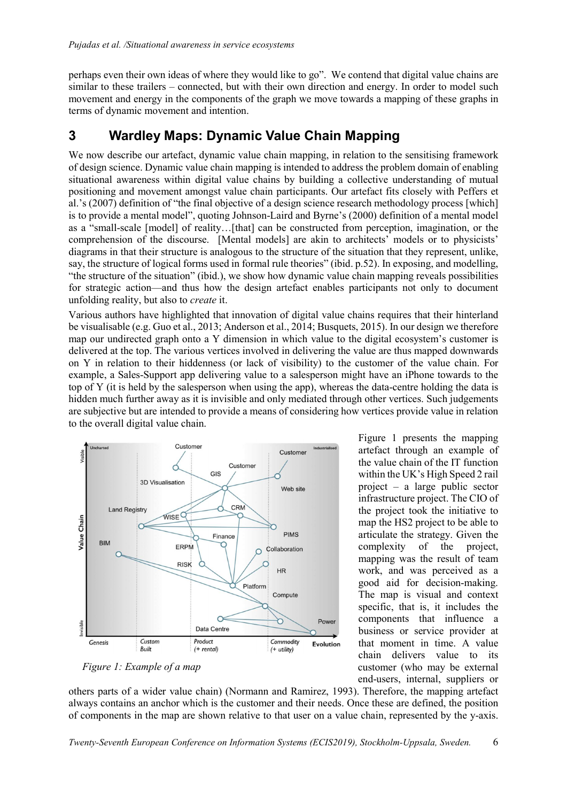perhaps even their own ideas of where they would like to go". We contend that digital value chains are similar to these trailers – connected, but with their own direction and energy. In order to model such movement and energy in the components of the graph we move towards a mapping of these graphs in terms of dynamic movement and intention.

## 3 Wardley Maps: Dynamic Value Chain Mapping

We now describe our artefact, dynamic value chain mapping, in relation to the sensitising framework of design science. Dynamic value chain mapping is intended to address the problem domain of enabling situational awareness within digital value chains by building a collective understanding of mutual positioning and movement amongst value chain participants. Our artefact fits closely with Peffers et al.'s (2007) definition of "the final objective of a design science research methodology process [which] is to provide a mental model", quoting Johnson-Laird and Byrne's (2000) definition of a mental model as a "small-scale [model] of reality…[that] can be constructed from perception, imagination, or the comprehension of the discourse. [Mental models] are akin to architects' models or to physicists' diagrams in that their structure is analogous to the structure of the situation that they represent, unlike, say, the structure of logical forms used in formal rule theories" (ibid. p.52). In exposing, and modelling, "the structure of the situation" (ibid.), we show how dynamic value chain mapping reveals possibilities for strategic action—and thus how the design artefact enables participants not only to document unfolding reality, but also to create it.

Various authors have highlighted that innovation of digital value chains requires that their hinterland be visualisable (e.g. Guo et al., 2013; Anderson et al., 2014; Busquets, 2015). In our design we therefore map our undirected graph onto a Y dimension in which value to the digital ecosystem's customer is delivered at the top. The various vertices involved in delivering the value are thus mapped downwards on Y in relation to their hiddenness (or lack of visibility) to the customer of the value chain. For example, a Sales-Support app delivering value to a salesperson might have an iPhone towards to the top of Y (it is held by the salesperson when using the app), whereas the data-centre holding the data is hidden much further away as it is invisible and only mediated through other vertices. Such judgements are subjective but are intended to provide a means of considering how vertices provide value in relation to the overall digital value chain.



Figure 1: Example of a map

Figure 1 presents the mapping artefact through an example of the value chain of the IT function within the UK's High Speed 2 rail project – a large public sector infrastructure project. The CIO of the project took the initiative to map the HS2 project to be able to articulate the strategy. Given the complexity of the project, mapping was the result of team work, and was perceived as a good aid for decision-making. The map is visual and context specific, that is, it includes the components that influence a business or service provider at that moment in time. A value chain delivers value to its customer (who may be external end-users, internal, suppliers or

others parts of a wider value chain) (Normann and Ramirez, 1993). Therefore, the mapping artefact always contains an anchor which is the customer and their needs. Once these are defined, the position of components in the map are shown relative to that user on a value chain, represented by the y-axis.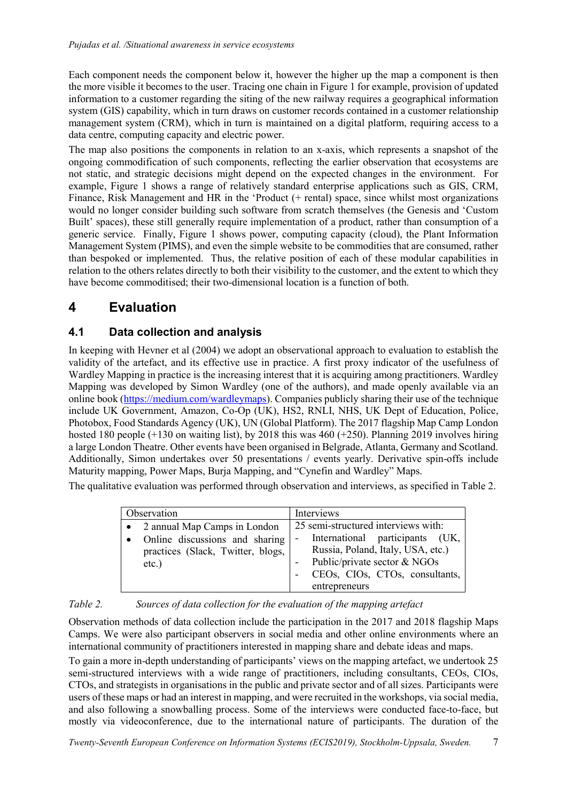Each component needs the component below it, however the higher up the map a component is then the more visible it becomes to the user. Tracing one chain in Figure 1 for example, provision of updated information to a customer regarding the siting of the new railway requires a geographical information system (GIS) capability, which in turn draws on customer records contained in a customer relationship management system (CRM), which in turn is maintained on a digital platform, requiring access to a data centre, computing capacity and electric power.

The map also positions the components in relation to an x-axis, which represents a snapshot of the ongoing commodification of such components, reflecting the earlier observation that ecosystems are not static, and strategic decisions might depend on the expected changes in the environment. For example, Figure 1 shows a range of relatively standard enterprise applications such as GIS, CRM, Finance, Risk Management and HR in the 'Product (+ rental) space, since whilst most organizations would no longer consider building such software from scratch themselves (the Genesis and 'Custom Built' spaces), these still generally require implementation of a product, rather than consumption of a generic service. Finally, Figure 1 shows power, computing capacity (cloud), the Plant Information Management System (PIMS), and even the simple website to be commodities that are consumed, rather than bespoked or implemented. Thus, the relative position of each of these modular capabilities in relation to the others relates directly to both their visibility to the customer, and the extent to which they have become commoditised; their two-dimensional location is a function of both.

# 4 Evaluation

## 4.1 Data collection and analysis

In keeping with Hevner et al (2004) we adopt an observational approach to evaluation to establish the validity of the artefact, and its effective use in practice. A first proxy indicator of the usefulness of Wardley Mapping in practice is the increasing interest that it is acquiring among practitioners. Wardley Mapping was developed by Simon Wardley (one of the authors), and made openly available via an online book (https://medium.com/wardleymaps). Companies publicly sharing their use of the technique include UK Government, Amazon, Co-Op (UK), HS2, RNLI, NHS, UK Dept of Education, Police, Photobox, Food Standards Agency (UK), UN (Global Platform). The 2017 flagship Map Camp London hosted 180 people  $(+130$  on waiting list), by 2018 this was 460  $(+250)$ . Planning 2019 involves hiring a large London Theatre. Other events have been organised in Belgrade, Atlanta, Germany and Scotland. Additionally, Simon undertakes over 50 presentations / events yearly. Derivative spin-offs include Maturity mapping, Power Maps, Burja Mapping, and "Cynefin and Wardley" Maps.

The qualitative evaluation was performed through observation and interviews, as specified in Table 2.

| Observation                                                                                                     | Interviews                                                                                                                                                                                                                 |
|-----------------------------------------------------------------------------------------------------------------|----------------------------------------------------------------------------------------------------------------------------------------------------------------------------------------------------------------------------|
| 2 annual Map Camps in London<br>Online discussions and sharing<br>practices (Slack, Twitter, blogs,<br>$etc.$ ) | 25 semi-structured interviews with:<br>International participants (UK,<br>$\overline{\phantom{0}}$<br>Russia, Poland, Italy, USA, etc.)<br>Public/private sector & NGOs<br>CEOs, CIOs, CTOs, consultants,<br>entrepreneurs |

#### Table 2. Sources of data collection for the evaluation of the mapping artefact

Observation methods of data collection include the participation in the 2017 and 2018 flagship Maps Camps. We were also participant observers in social media and other online environments where an international community of practitioners interested in mapping share and debate ideas and maps.

To gain a more in-depth understanding of participants' views on the mapping artefact, we undertook 25 semi-structured interviews with a wide range of practitioners, including consultants, CEOs, CIOs, CTOs, and strategists in organisations in the public and private sector and of all sizes. Participants were users of these maps or had an interest in mapping, and were recruited in the workshops, via social media, and also following a snowballing process. Some of the interviews were conducted face-to-face, but mostly via videoconference, due to the international nature of participants. The duration of the

Twenty-Seventh European Conference on Information Systems (ECIS2019), Stockholm-Uppsala, Sweden. 7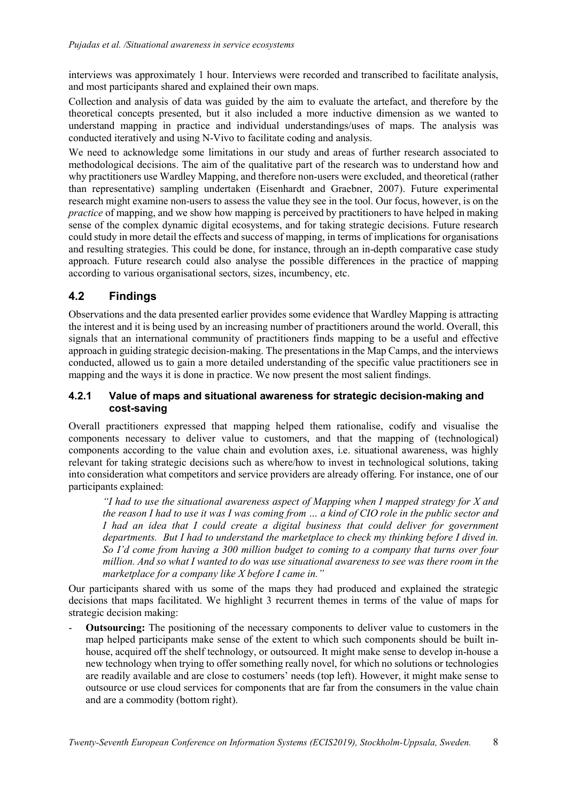interviews was approximately 1 hour. Interviews were recorded and transcribed to facilitate analysis, and most participants shared and explained their own maps.

Collection and analysis of data was guided by the aim to evaluate the artefact, and therefore by the theoretical concepts presented, but it also included a more inductive dimension as we wanted to understand mapping in practice and individual understandings/uses of maps. The analysis was conducted iteratively and using N-Vivo to facilitate coding and analysis.

We need to acknowledge some limitations in our study and areas of further research associated to methodological decisions. The aim of the qualitative part of the research was to understand how and why practitioners use Wardley Mapping, and therefore non-users were excluded, and theoretical (rather than representative) sampling undertaken (Eisenhardt and Graebner, 2007). Future experimental research might examine non-users to assess the value they see in the tool. Our focus, however, is on the practice of mapping, and we show how mapping is perceived by practitioners to have helped in making sense of the complex dynamic digital ecosystems, and for taking strategic decisions. Future research could study in more detail the effects and success of mapping, in terms of implications for organisations and resulting strategies. This could be done, for instance, through an in-depth comparative case study approach. Future research could also analyse the possible differences in the practice of mapping according to various organisational sectors, sizes, incumbency, etc.

#### 4.2 Findings

Observations and the data presented earlier provides some evidence that Wardley Mapping is attracting the interest and it is being used by an increasing number of practitioners around the world. Overall, this signals that an international community of practitioners finds mapping to be a useful and effective approach in guiding strategic decision-making. The presentations in the Map Camps, and the interviews conducted, allowed us to gain a more detailed understanding of the specific value practitioners see in mapping and the ways it is done in practice. We now present the most salient findings.

#### 4.2.1 Value of maps and situational awareness for strategic decision-making and cost-saving

Overall practitioners expressed that mapping helped them rationalise, codify and visualise the components necessary to deliver value to customers, and that the mapping of (technological) components according to the value chain and evolution axes, i.e. situational awareness, was highly relevant for taking strategic decisions such as where/how to invest in technological solutions, taking into consideration what competitors and service providers are already offering. For instance, one of our participants explained:

"I had to use the situational awareness aspect of Mapping when I mapped strategy for  $X$  and the reason I had to use it was I was coming from … a kind of CIO role in the public sector and I had an idea that I could create a digital business that could deliver for government departments. But I had to understand the marketplace to check my thinking before I dived in. So I'd come from having a 300 million budget to coming to a company that turns over four million. And so what I wanted to do was use situational awareness to see was there room in the marketplace for a company like X before I came in."

Our participants shared with us some of the maps they had produced and explained the strategic decisions that maps facilitated. We highlight 3 recurrent themes in terms of the value of maps for strategic decision making:

- Outsourcing: The positioning of the necessary components to deliver value to customers in the map helped participants make sense of the extent to which such components should be built inhouse, acquired off the shelf technology, or outsourced. It might make sense to develop in-house a new technology when trying to offer something really novel, for which no solutions or technologies are readily available and are close to costumers' needs (top left). However, it might make sense to outsource or use cloud services for components that are far from the consumers in the value chain and are a commodity (bottom right).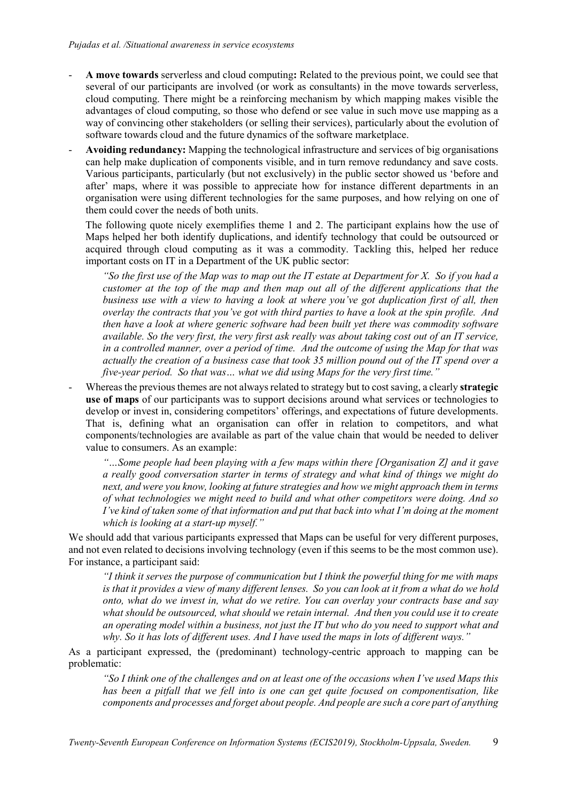- A move towards serverless and cloud computing: Related to the previous point, we could see that several of our participants are involved (or work as consultants) in the move towards serverless, cloud computing. There might be a reinforcing mechanism by which mapping makes visible the advantages of cloud computing, so those who defend or see value in such move use mapping as a way of convincing other stakeholders (or selling their services), particularly about the evolution of software towards cloud and the future dynamics of the software marketplace.
- Avoiding redundancy: Mapping the technological infrastructure and services of big organisations can help make duplication of components visible, and in turn remove redundancy and save costs. Various participants, particularly (but not exclusively) in the public sector showed us 'before and after' maps, where it was possible to appreciate how for instance different departments in an organisation were using different technologies for the same purposes, and how relying on one of them could cover the needs of both units.

The following quote nicely exemplifies theme 1 and 2. The participant explains how the use of Maps helped her both identify duplications, and identify technology that could be outsourced or acquired through cloud computing as it was a commodity. Tackling this, helped her reduce important costs on IT in a Department of the UK public sector:

"So the first use of the Map was to map out the IT estate at Department for X. So if you had a customer at the top of the map and then map out all of the different applications that the business use with a view to having a look at where you've got duplication first of all, then overlay the contracts that you've got with third parties to have a look at the spin profile. And then have a look at where generic software had been built yet there was commodity software available. So the very first, the very first ask really was about taking cost out of an IT service, in a controlled manner, over a period of time. And the outcome of using the Map for that was actually the creation of a business case that took 35 million pound out of the IT spend over a five-year period. So that was… what we did using Maps for the very first time."

Whereas the previous themes are not always related to strategy but to cost saving, a clearly strategic use of maps of our participants was to support decisions around what services or technologies to develop or invest in, considering competitors' offerings, and expectations of future developments. That is, defining what an organisation can offer in relation to competitors, and what components/technologies are available as part of the value chain that would be needed to deliver value to consumers. As an example:

"…Some people had been playing with a few maps within there [Organisation Z] and it gave a really good conversation starter in terms of strategy and what kind of things we might do next, and were you know, looking at future strategies and how we might approach them in terms of what technologies we might need to build and what other competitors were doing. And so I've kind of taken some of that information and put that back into what I'm doing at the moment which is looking at a start-up myself."

We should add that various participants expressed that Maps can be useful for very different purposes, and not even related to decisions involving technology (even if this seems to be the most common use). For instance, a participant said:

 $\lq$  think it serves the purpose of communication but I think the powerful thing for me with maps is that it provides a view of many different lenses. So you can look at it from a what do we hold onto, what do we invest in, what do we retire. You can overlay your contracts base and say what should be outsourced, what should we retain internal. And then you could use it to create an operating model within a business, not just the IT but who do you need to support what and why. So it has lots of different uses. And I have used the maps in lots of different ways."

As a participant expressed, the (predominant) technology-centric approach to mapping can be problematic:

"So I think one of the challenges and on at least one of the occasions when I've used Maps this has been a pitfall that we fell into is one can get quite focused on componentisation, like components and processes and forget about people. And people are such a core part of anything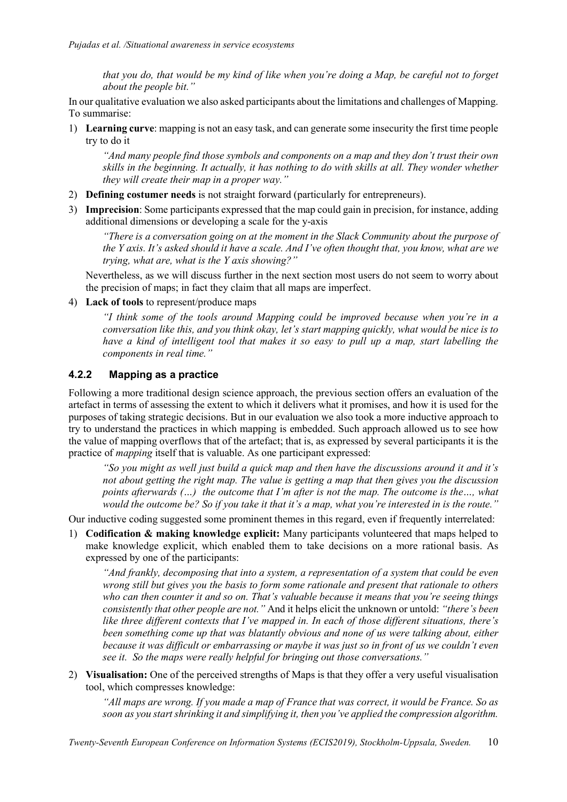that you do, that would be my kind of like when you're doing a Map, be careful not to forget about the people bit."

In our qualitative evaluation we also asked participants about the limitations and challenges of Mapping. To summarise:

1) Learning curve: mapping is not an easy task, and can generate some insecurity the first time people try to do it

"And many people find those symbols and components on a map and they don't trust their own skills in the beginning. It actually, it has nothing to do with skills at all. They wonder whether they will create their map in a proper way."

- 2) Defining costumer needs is not straight forward (particularly for entrepreneurs).
- 3) Imprecision: Some participants expressed that the map could gain in precision, for instance, adding additional dimensions or developing a scale for the y-axis

"There is a conversation going on at the moment in the Slack Community about the purpose of the Y axis. It's asked should it have a scale. And I've often thought that, you know, what are we trying, what are, what is the Y axis showing?"

Nevertheless, as we will discuss further in the next section most users do not seem to worry about the precision of maps; in fact they claim that all maps are imperfect.

4) Lack of tools to represent/produce maps

"I think some of the tools around Mapping could be improved because when you're in a conversation like this, and you think okay, let's start mapping quickly, what would be nice is to have a kind of intelligent tool that makes it so easy to pull up a map, start labelling the components in real time."

#### 4.2.2 Mapping as a practice

Following a more traditional design science approach, the previous section offers an evaluation of the artefact in terms of assessing the extent to which it delivers what it promises, and how it is used for the purposes of taking strategic decisions. But in our evaluation we also took a more inductive approach to try to understand the practices in which mapping is embedded. Such approach allowed us to see how the value of mapping overflows that of the artefact; that is, as expressed by several participants it is the practice of mapping itself that is valuable. As one participant expressed:

"So you might as well just build a quick map and then have the discussions around it and it's not about getting the right map. The value is getting a map that then gives you the discussion points afterwards (…) the outcome that I'm after is not the map. The outcome is the…, what would the outcome be? So if you take it that it's a map, what you're interested in is the route."

Our inductive coding suggested some prominent themes in this regard, even if frequently interrelated:

1) Codification  $\&$  making knowledge explicit: Many participants volunteered that maps helped to make knowledge explicit, which enabled them to take decisions on a more rational basis. As expressed by one of the participants:

"And frankly, decomposing that into a system, a representation of a system that could be even wrong still but gives you the basis to form some rationale and present that rationale to others who can then counter it and so on. That's valuable because it means that you're seeing things consistently that other people are not." And it helps elicit the unknown or untold: "there's been like three different contexts that I've mapped in. In each of those different situations, there's been something come up that was blatantly obvious and none of us were talking about, either because it was difficult or embarrassing or maybe it was just so in front of us we couldn't even see it. So the maps were really helpful for bringing out those conversations."

2) Visualisation: One of the perceived strengths of Maps is that they offer a very useful visualisation tool, which compresses knowledge:

"All maps are wrong. If you made a map of France that was correct, it would be France. So as soon as you start shrinking it and simplifying it, then you've applied the compression algorithm.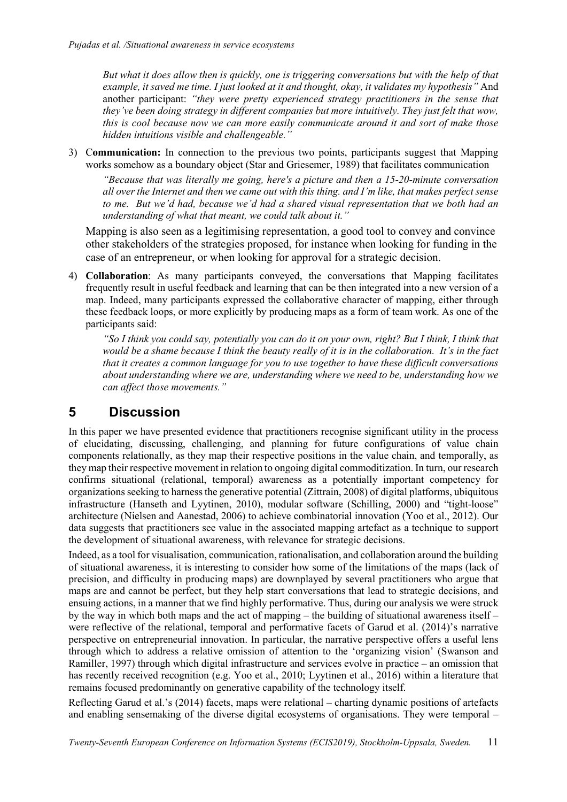But what it does allow then is quickly, one is triggering conversations but with the help of that example, it saved me time. I just looked at it and thought, okay, it validates my hypothesis" And another participant: "they were pretty experienced strategy practitioners in the sense that they've been doing strategy in different companies but more intuitively. They just felt that wow, this is cool because now we can more easily communicate around it and sort of make those hidden intuitions visible and challengeable."

3) Communication: In connection to the previous two points, participants suggest that Mapping works somehow as a boundary object (Star and Griesemer, 1989) that facilitates communication

"Because that was literally me going, here's a picture and then a 15-20-minute conversation all over the Internet and then we came out with this thing. and I'm like, that makes perfect sense to me. But we'd had, because we'd had a shared visual representation that we both had an understanding of what that meant, we could talk about it."

Mapping is also seen as a legitimising representation, a good tool to convey and convince other stakeholders of the strategies proposed, for instance when looking for funding in the case of an entrepreneur, or when looking for approval for a strategic decision.

4) Collaboration: As many participants conveyed, the conversations that Mapping facilitates frequently result in useful feedback and learning that can be then integrated into a new version of a map. Indeed, many participants expressed the collaborative character of mapping, either through these feedback loops, or more explicitly by producing maps as a form of team work. As one of the participants said:

"So I think you could say, potentially you can do it on your own, right? But I think, I think that would be a shame because I think the beauty really of it is in the collaboration. It's in the fact that it creates a common language for you to use together to have these difficult conversations about understanding where we are, understanding where we need to be, understanding how we can affect those movements."

## 5 Discussion

In this paper we have presented evidence that practitioners recognise significant utility in the process of elucidating, discussing, challenging, and planning for future configurations of value chain components relationally, as they map their respective positions in the value chain, and temporally, as they map their respective movement in relation to ongoing digital commoditization. In turn, our research confirms situational (relational, temporal) awareness as a potentially important competency for organizations seeking to harness the generative potential (Zittrain, 2008) of digital platforms, ubiquitous infrastructure (Hanseth and Lyytinen, 2010), modular software (Schilling, 2000) and "tight-loose" architecture (Nielsen and Aanestad, 2006) to achieve combinatorial innovation (Yoo et al., 2012). Our data suggests that practitioners see value in the associated mapping artefact as a technique to support the development of situational awareness, with relevance for strategic decisions.

Indeed, as a tool for visualisation, communication, rationalisation, and collaboration around the building of situational awareness, it is interesting to consider how some of the limitations of the maps (lack of precision, and difficulty in producing maps) are downplayed by several practitioners who argue that maps are and cannot be perfect, but they help start conversations that lead to strategic decisions, and ensuing actions, in a manner that we find highly performative. Thus, during our analysis we were struck by the way in which both maps and the act of mapping – the building of situational awareness itself – were reflective of the relational, temporal and performative facets of Garud et al. (2014)'s narrative perspective on entrepreneurial innovation. In particular, the narrative perspective offers a useful lens through which to address a relative omission of attention to the 'organizing vision' (Swanson and Ramiller, 1997) through which digital infrastructure and services evolve in practice – an omission that has recently received recognition (e.g. Yoo et al., 2010; Lyytinen et al., 2016) within a literature that remains focused predominantly on generative capability of the technology itself.

Reflecting Garud et al.'s (2014) facets, maps were relational – charting dynamic positions of artefacts and enabling sensemaking of the diverse digital ecosystems of organisations. They were temporal –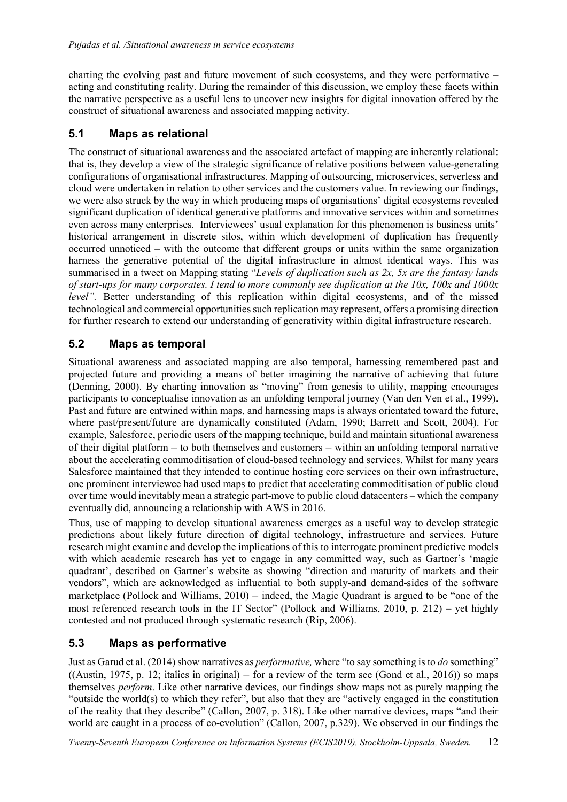charting the evolving past and future movement of such ecosystems, and they were performative – acting and constituting reality. During the remainder of this discussion, we employ these facets within the narrative perspective as a useful lens to uncover new insights for digital innovation offered by the construct of situational awareness and associated mapping activity.

### 5.1 Maps as relational

The construct of situational awareness and the associated artefact of mapping are inherently relational: that is, they develop a view of the strategic significance of relative positions between value-generating configurations of organisational infrastructures. Mapping of outsourcing, microservices, serverless and cloud were undertaken in relation to other services and the customers value. In reviewing our findings, we were also struck by the way in which producing maps of organisations' digital ecosystems revealed significant duplication of identical generative platforms and innovative services within and sometimes even across many enterprises. Interviewees' usual explanation for this phenomenon is business units' historical arrangement in discrete silos, within which development of duplication has frequently occurred unnoticed – with the outcome that different groups or units within the same organization harness the generative potential of the digital infrastructure in almost identical ways. This was summarised in a tweet on Mapping stating "Levels of duplication such as 2x, 5x are the fantasy lands of start-ups for many corporates. I tend to more commonly see duplication at the  $10x$ ,  $100x$  and  $1000x$ level". Better understanding of this replication within digital ecosystems, and of the missed technological and commercial opportunities such replication may represent, offers a promising direction for further research to extend our understanding of generativity within digital infrastructure research.

### 5.2 Maps as temporal

Situational awareness and associated mapping are also temporal, harnessing remembered past and projected future and providing a means of better imagining the narrative of achieving that future (Denning, 2000). By charting innovation as "moving" from genesis to utility, mapping encourages participants to conceptualise innovation as an unfolding temporal journey (Van den Ven et al., 1999). Past and future are entwined within maps, and harnessing maps is always orientated toward the future, where past/present/future are dynamically constituted (Adam, 1990; Barrett and Scott, 2004). For example, Salesforce, periodic users of the mapping technique, build and maintain situational awareness of their digital platform – to both themselves and customers – within an unfolding temporal narrative about the accelerating commoditisation of cloud-based technology and services. Whilst for many years Salesforce maintained that they intended to continue hosting core services on their own infrastructure, one prominent interviewee had used maps to predict that accelerating commoditisation of public cloud over time would inevitably mean a strategic part-move to public cloud datacenters – which the company eventually did, announcing a relationship with AWS in 2016.

Thus, use of mapping to develop situational awareness emerges as a useful way to develop strategic predictions about likely future direction of digital technology, infrastructure and services. Future research might examine and develop the implications of this to interrogate prominent predictive models with which academic research has yet to engage in any committed way, such as Gartner's 'magic quadrant', described on Gartner's website as showing "direction and maturity of markets and their vendors", which are acknowledged as influential to both supply-and demand-sides of the software marketplace (Pollock and Williams, 2010) – indeed, the Magic Quadrant is argued to be "one of the most referenced research tools in the IT Sector" (Pollock and Williams, 2010, p. 212) – yet highly contested and not produced through systematic research (Rip, 2006).

## 5.3 Maps as performative

Just as Garud et al. (2014) show narratives as performative, where "to say something is to do something"  $((Austin, 1975, p. 12; italics in original) – for a review of the term see (Gond et al., 2016)) so maps$ themselves perform. Like other narrative devices, our findings show maps not as purely mapping the "outside the world(s) to which they refer", but also that they are "actively engaged in the constitution" of the reality that they describe" (Callon, 2007, p. 318). Like other narrative devices, maps "and their world are caught in a process of co-evolution" (Callon, 2007, p.329). We observed in our findings the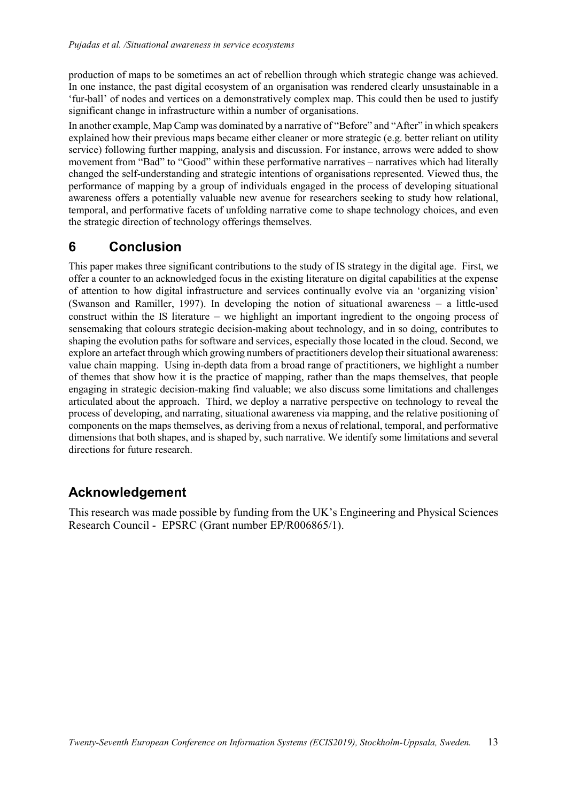production of maps to be sometimes an act of rebellion through which strategic change was achieved. In one instance, the past digital ecosystem of an organisation was rendered clearly unsustainable in a 'fur-ball' of nodes and vertices on a demonstratively complex map. This could then be used to justify significant change in infrastructure within a number of organisations.

In another example, Map Camp was dominated by a narrative of "Before" and "After" in which speakers explained how their previous maps became either cleaner or more strategic (e.g. better reliant on utility service) following further mapping, analysis and discussion. For instance, arrows were added to show movement from "Bad" to "Good" within these performative narratives – narratives which had literally changed the self-understanding and strategic intentions of organisations represented. Viewed thus, the performance of mapping by a group of individuals engaged in the process of developing situational awareness offers a potentially valuable new avenue for researchers seeking to study how relational, temporal, and performative facets of unfolding narrative come to shape technology choices, and even the strategic direction of technology offerings themselves.

## 6 Conclusion

This paper makes three significant contributions to the study of IS strategy in the digital age. First, we offer a counter to an acknowledged focus in the existing literature on digital capabilities at the expense of attention to how digital infrastructure and services continually evolve via an 'organizing vision' (Swanson and Ramiller, 1997). In developing the notion of situational awareness – a little-used construct within the IS literature – we highlight an important ingredient to the ongoing process of sensemaking that colours strategic decision-making about technology, and in so doing, contributes to shaping the evolution paths for software and services, especially those located in the cloud. Second, we explore an artefact through which growing numbers of practitioners develop their situational awareness: value chain mapping. Using in-depth data from a broad range of practitioners, we highlight a number of themes that show how it is the practice of mapping, rather than the maps themselves, that people engaging in strategic decision-making find valuable; we also discuss some limitations and challenges articulated about the approach. Third, we deploy a narrative perspective on technology to reveal the process of developing, and narrating, situational awareness via mapping, and the relative positioning of components on the maps themselves, as deriving from a nexus of relational, temporal, and performative dimensions that both shapes, and is shaped by, such narrative. We identify some limitations and several directions for future research.

## Acknowledgement

This research was made possible by funding from the UK's Engineering and Physical Sciences Research Council - EPSRC (Grant number EP/R006865/1).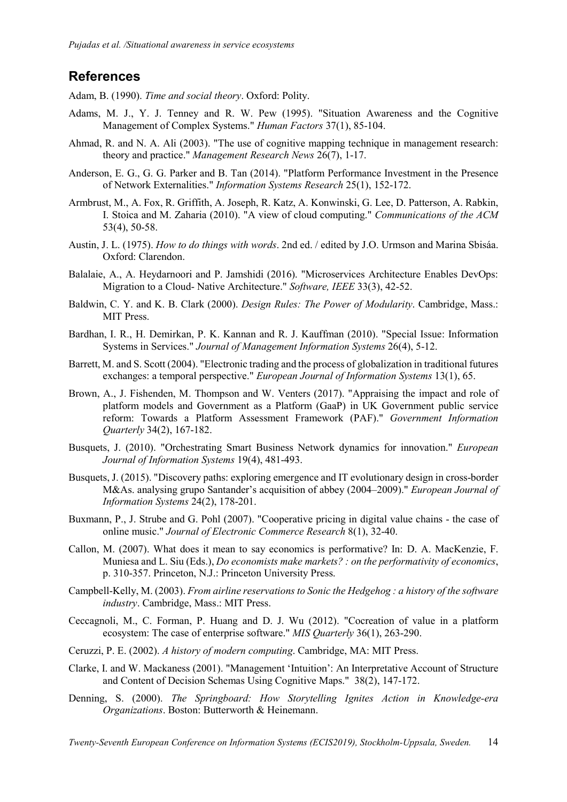### References

Adam, B. (1990). Time and social theory. Oxford: Polity.

- Adams, M. J., Y. J. Tenney and R. W. Pew (1995). "Situation Awareness and the Cognitive Management of Complex Systems." Human Factors 37(1), 85-104.
- Ahmad, R. and N. A. Ali (2003). "The use of cognitive mapping technique in management research: theory and practice." Management Research News 26(7), 1-17.
- Anderson, E. G., G. G. Parker and B. Tan (2014). "Platform Performance Investment in the Presence of Network Externalities." Information Systems Research 25(1), 152-172.
- Armbrust, M., A. Fox, R. Griffith, A. Joseph, R. Katz, A. Konwinski, G. Lee, D. Patterson, A. Rabkin, I. Stoica and M. Zaharia (2010). "A view of cloud computing." Communications of the ACM 53(4), 50-58.
- Austin, J. L. (1975). How to do things with words. 2nd ed. / edited by J.O. Urmson and Marina Sbisáa. Oxford: Clarendon.
- Balalaie, A., A. Heydarnoori and P. Jamshidi (2016). "Microservices Architecture Enables DevOps: Migration to a Cloud- Native Architecture." Software, IEEE 33(3), 42-52.
- Baldwin, C. Y. and K. B. Clark (2000). Design Rules: The Power of Modularity. Cambridge, Mass.: MIT Press.
- Bardhan, I. R., H. Demirkan, P. K. Kannan and R. J. Kauffman (2010). "Special Issue: Information Systems in Services." Journal of Management Information Systems 26(4), 5-12.
- Barrett, M. and S. Scott (2004). "Electronic trading and the process of globalization in traditional futures exchanges: a temporal perspective." European Journal of Information Systems 13(1), 65.
- Brown, A., J. Fishenden, M. Thompson and W. Venters (2017). "Appraising the impact and role of platform models and Government as a Platform (GaaP) in UK Government public service reform: Towards a Platform Assessment Framework (PAF)." Government Information Quarterly 34(2), 167-182.
- Busquets, J. (2010). "Orchestrating Smart Business Network dynamics for innovation." European Journal of Information Systems 19(4), 481-493.
- Busquets, J. (2015). "Discovery paths: exploring emergence and IT evolutionary design in cross-border M&As. analysing grupo Santander's acquisition of abbey (2004–2009)." European Journal of Information Systems 24(2), 178-201.
- Buxmann, P., J. Strube and G. Pohl (2007). "Cooperative pricing in digital value chains the case of online music." Journal of Electronic Commerce Research 8(1), 32-40.
- Callon, M. (2007). What does it mean to say economics is performative? In: D. A. MacKenzie, F. Muniesa and L. Siu (Eds.), *Do economists make markets? : on the performativity of economics*, p. 310-357. Princeton, N.J.: Princeton University Press.
- Campbell-Kelly, M. (2003). From airline reservations to Sonic the Hedgehog : a history of the software industry. Cambridge, Mass.: MIT Press.
- Ceccagnoli, M., C. Forman, P. Huang and D. J. Wu (2012). "Cocreation of value in a platform ecosystem: The case of enterprise software." MIS Quarterly 36(1), 263-290.
- Ceruzzi, P. E. (2002). A history of modern computing. Cambridge, MA: MIT Press.
- Clarke, I. and W. Mackaness (2001). "Management 'Intuition': An Interpretative Account of Structure and Content of Decision Schemas Using Cognitive Maps." 38(2), 147-172.
- Denning, S. (2000). The Springboard: How Storytelling Ignites Action in Knowledge-era Organizations. Boston: Butterworth & Heinemann.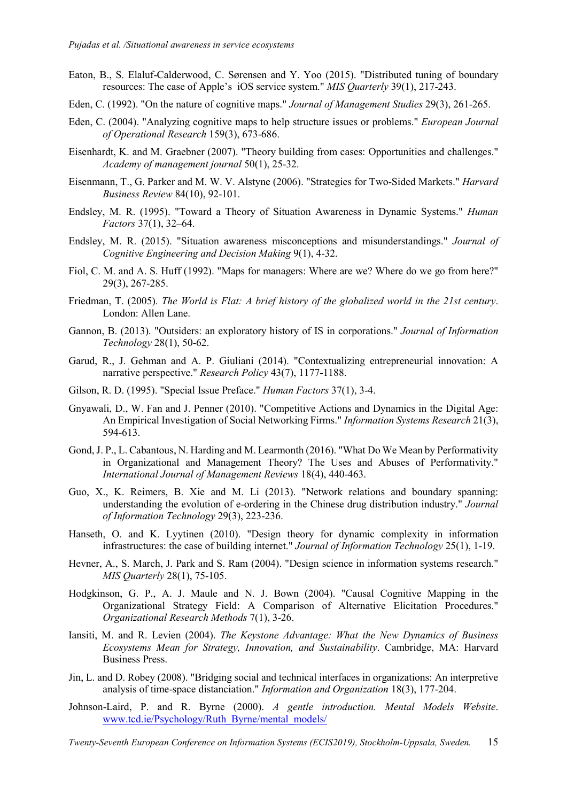- Eaton, B., S. Elaluf-Calderwood, C. Sørensen and Y. Yoo (2015). "Distributed tuning of boundary resources: The case of Apple's iOS service system." MIS Quarterly 39(1), 217-243.
- Eden, C. (1992). "On the nature of cognitive maps." Journal of Management Studies 29(3), 261-265.
- Eden, C. (2004). "Analyzing cognitive maps to help structure issues or problems." European Journal of Operational Research 159(3), 673-686.
- Eisenhardt, K. and M. Graebner (2007). "Theory building from cases: Opportunities and challenges." Academy of management journal 50(1), 25-32.
- Eisenmann, T., G. Parker and M. W. V. Alstyne (2006). "Strategies for Two-Sided Markets." Harvard Business Review 84(10), 92-101.
- Endsley, M. R. (1995). "Toward a Theory of Situation Awareness in Dynamic Systems." Human Factors 37(1), 32–64.
- Endsley, M. R. (2015). "Situation awareness misconceptions and misunderstandings." Journal of Cognitive Engineering and Decision Making 9(1), 4-32.
- Fiol, C. M. and A. S. Huff (1992). "Maps for managers: Where are we? Where do we go from here?" 29(3), 267-285.
- Friedman, T. (2005). The World is Flat: A brief history of the globalized world in the 21st century. London: Allen Lane.
- Gannon, B. (2013). "Outsiders: an exploratory history of IS in corporations." Journal of Information Technology 28(1), 50-62.
- Garud, R., J. Gehman and A. P. Giuliani (2014). "Contextualizing entrepreneurial innovation: A narrative perspective." Research Policy 43(7), 1177-1188.
- Gilson, R. D. (1995). "Special Issue Preface." Human Factors 37(1), 3-4.
- Gnyawali, D., W. Fan and J. Penner (2010). "Competitive Actions and Dynamics in the Digital Age: An Empirical Investigation of Social Networking Firms." Information Systems Research 21(3), 594-613.
- Gond, J. P., L. Cabantous, N. Harding and M. Learmonth (2016). "What Do We Mean by Performativity in Organizational and Management Theory? The Uses and Abuses of Performativity." International Journal of Management Reviews 18(4), 440-463.
- Guo, X., K. Reimers, B. Xie and M. Li (2013). "Network relations and boundary spanning: understanding the evolution of e-ordering in the Chinese drug distribution industry." Journal of Information Technology 29(3), 223-236.
- Hanseth, O. and K. Lyytinen (2010). "Design theory for dynamic complexity in information infrastructures: the case of building internet." Journal of Information Technology 25(1), 1-19.
- Hevner, A., S. March, J. Park and S. Ram (2004). "Design science in information systems research." MIS Quarterly 28(1), 75-105.
- Hodgkinson, G. P., A. J. Maule and N. J. Bown (2004). "Causal Cognitive Mapping in the Organizational Strategy Field: A Comparison of Alternative Elicitation Procedures." Organizational Research Methods 7(1), 3-26.
- Iansiti, M. and R. Levien (2004). The Keystone Advantage: What the New Dynamics of Business Ecosystems Mean for Strategy, Innovation, and Sustainability. Cambridge, MA: Harvard Business Press.
- Jin, L. and D. Robey (2008). "Bridging social and technical interfaces in organizations: An interpretive analysis of time-space distanciation." Information and Organization 18(3), 177-204.
- Johnson-Laird, P. and R. Byrne (2000). A gentle introduction. Mental Models Website. www.tcd.ie/Psychology/Ruth\_Byrne/mental\_models/

Twenty-Seventh European Conference on Information Systems (ECIS2019), Stockholm-Uppsala, Sweden. 15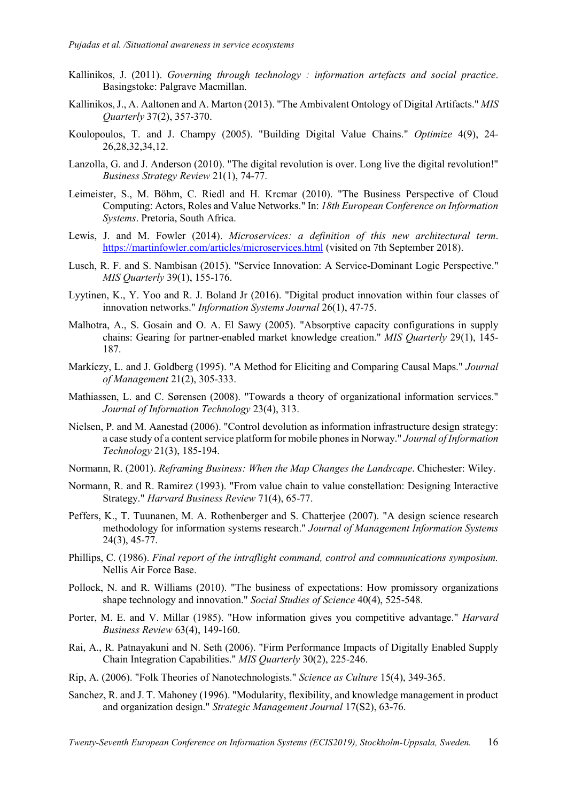- Kallinikos, J. (2011). Governing through technology : information artefacts and social practice. Basingstoke: Palgrave Macmillan.
- Kallinikos, J., A. Aaltonen and A. Marton (2013). "The Ambivalent Ontology of Digital Artifacts." MIS Quarterly 37(2), 357-370.
- Koulopoulos, T. and J. Champy (2005). "Building Digital Value Chains." Optimize 4(9), 24- 26,28,32,34,12.
- Lanzolla, G. and J. Anderson (2010). "The digital revolution is over. Long live the digital revolution!" Business Strategy Review 21(1), 74-77.
- Leimeister, S., M. Böhm, C. Riedl and H. Krcmar (2010). "The Business Perspective of Cloud Computing: Actors, Roles and Value Networks." In: 18th European Conference on Information Systems. Pretoria, South Africa.
- Lewis, J. and M. Fowler (2014). Microservices: a definition of this new architectural term. https://martinfowler.com/articles/microservices.html (visited on 7th September 2018).
- Lusch, R. F. and S. Nambisan (2015). "Service Innovation: A Service-Dominant Logic Perspective." MIS Quarterly 39(1), 155-176.
- Lyytinen, K., Y. Yoo and R. J. Boland Jr (2016). "Digital product innovation within four classes of innovation networks." Information Systems Journal 26(1), 47-75.
- Malhotra, A., S. Gosain and O. A. El Sawy (2005). "Absorptive capacity configurations in supply chains: Gearing for partner-enabled market knowledge creation." MIS Quarterly 29(1), 145- 187.
- Markíczy, L. and J. Goldberg (1995). "A Method for Eliciting and Comparing Causal Maps." Journal of Management 21(2), 305-333.
- Mathiassen, L. and C. Sørensen (2008). "Towards a theory of organizational information services." Journal of Information Technology 23(4), 313.
- Nielsen, P. and M. Aanestad (2006). "Control devolution as information infrastructure design strategy: a case study of a content service platform for mobile phones in Norway." Journal of Information Technology 21(3), 185-194.
- Normann, R. (2001). Reframing Business: When the Map Changes the Landscape. Chichester: Wiley.
- Normann, R. and R. Ramirez (1993). "From value chain to value constellation: Designing Interactive Strategy." Harvard Business Review 71(4), 65-77.
- Peffers, K., T. Tuunanen, M. A. Rothenberger and S. Chatterjee (2007). "A design science research methodology for information systems research." Journal of Management Information Systems 24(3), 45-77.
- Phillips, C. (1986). Final report of the intraflight command, control and communications symposium. Nellis Air Force Base.
- Pollock, N. and R. Williams (2010). "The business of expectations: How promissory organizations shape technology and innovation." Social Studies of Science 40(4), 525-548.
- Porter, M. E. and V. Millar (1985). "How information gives you competitive advantage." Harvard Business Review 63(4), 149-160.
- Rai, A., R. Patnayakuni and N. Seth (2006). "Firm Performance Impacts of Digitally Enabled Supply Chain Integration Capabilities." MIS Quarterly 30(2), 225-246.
- Rip, A. (2006). "Folk Theories of Nanotechnologists." Science as Culture 15(4), 349-365.
- Sanchez, R. and J. T. Mahoney (1996). "Modularity, flexibility, and knowledge management in product and organization design." Strategic Management Journal 17(S2), 63-76.